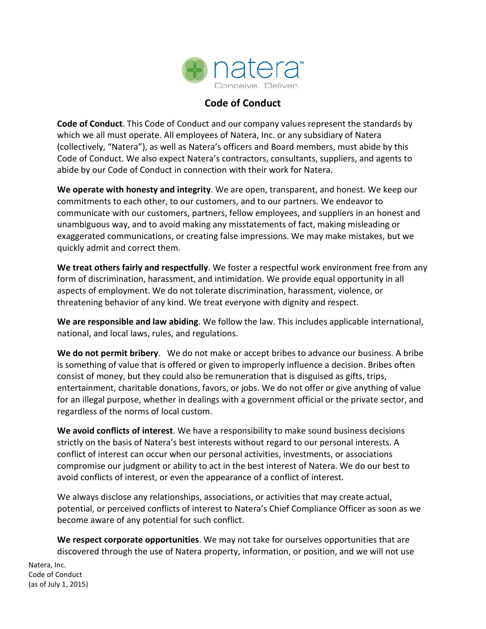

## **Code of Conduct**

**Code of Conduct**. This Code of Conduct and our company values represent the standards by which we all must operate. All employees of Natera, Inc. or any subsidiary of Natera (collectively, "Natera"), as well as Natera's officers and Board members, must abide by this Code of Conduct. We also expect Natera's contractors, consultants, suppliers, and agents to abide by our Code of Conduct in connection with their work for Natera.

**We operate with honesty and integrity**. We are open, transparent, and honest. We keep our commitments to each other, to our customers, and to our partners. We endeavor to communicate with our customers, partners, fellow employees, and suppliers in an honest and unambiguous way, and to avoid making any misstatements of fact, making misleading or exaggerated communications, or creating false impressions. We may make mistakes, but we quickly admit and correct them.

**We treat others fairly and respectfully**. We foster a respectful work environment free from any form of discrimination, harassment, and intimidation. We provide equal opportunity in all aspects of employment. We do not tolerate discrimination, harassment, violence, or threatening behavior of any kind. We treat everyone with dignity and respect.

**We are responsible and law abiding**. We follow the law. This includes applicable international, national, and local laws, rules, and regulations.

**We do not permit bribery**. We do not make or accept bribes to advance our business. A bribe is something of value that is offered or given to improperly influence a decision. Bribes often consist of money, but they could also be remuneration that is disguised as gifts, trips, entertainment, charitable donations, favors, or jobs. We do not offer or give anything of value for an illegal purpose, whether in dealings with a government official or the private sector, and regardless of the norms of local custom.

**We avoid conflicts of interest**. We have a responsibility to make sound business decisions strictly on the basis of Natera's best interests without regard to our personal interests. A conflict of interest can occur when our personal activities, investments, or associations compromise our judgment or ability to act in the best interest of Natera. We do our best to avoid conflicts of interest, or even the appearance of a conflict of interest.

We always disclose any relationships, associations, or activities that may create actual, potential, or perceived conflicts of interest to Natera's Chief Compliance Officer as soon as we become aware of any potential for such conflict.

**We respect corporate opportunities**. We may not take for ourselves opportunities that are discovered through the use of Natera property, information, or position, and we will not use

Natera, Inc. Code of Conduct (as of July 1, 2015)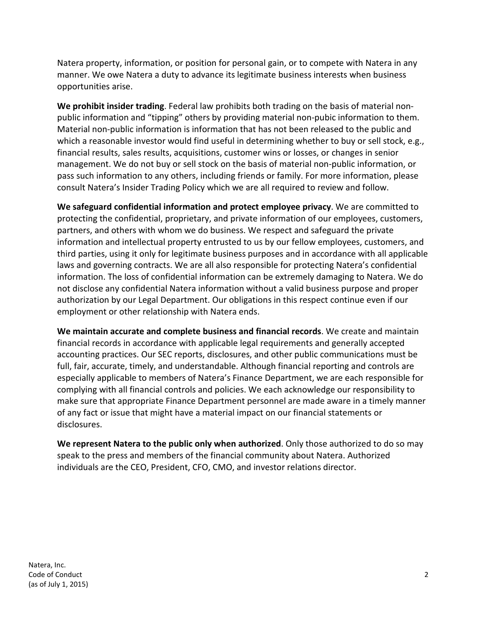Natera property, information, or position for personal gain, or to compete with Natera in any manner. We owe Natera a duty to advance its legitimate business interests when business opportunities arise.

**We prohibit insider trading**. Federal law prohibits both trading on the basis of material nonpublic information and "tipping" others by providing material non-pubic information to them. Material non-public information is information that has not been released to the public and which a reasonable investor would find useful in determining whether to buy or sell stock, e.g., financial results, sales results, acquisitions, customer wins or losses, or changes in senior management. We do not buy or sell stock on the basis of material non-public information, or pass such information to any others, including friends or family. For more information, please consult Natera's Insider Trading Policy which we are all required to review and follow.

**We safeguard confidential information and protect employee privacy**. We are committed to protecting the confidential, proprietary, and private information of our employees, customers, partners, and others with whom we do business. We respect and safeguard the private information and intellectual property entrusted to us by our fellow employees, customers, and third parties, using it only for legitimate business purposes and in accordance with all applicable laws and governing contracts. We are all also responsible for protecting Natera's confidential information. The loss of confidential information can be extremely damaging to Natera. We do not disclose any confidential Natera information without a valid business purpose and proper authorization by our Legal Department. Our obligations in this respect continue even if our employment or other relationship with Natera ends.

**We maintain accurate and complete business and financial records**. We create and maintain financial records in accordance with applicable legal requirements and generally accepted accounting practices. Our SEC reports, disclosures, and other public communications must be full, fair, accurate, timely, and understandable. Although financial reporting and controls are especially applicable to members of Natera's Finance Department, we are each responsible for complying with all financial controls and policies. We each acknowledge our responsibility to make sure that appropriate Finance Department personnel are made aware in a timely manner of any fact or issue that might have a material impact on our financial statements or disclosures.

**We represent Natera to the public only when authorized**. Only those authorized to do so may speak to the press and members of the financial community about Natera. Authorized individuals are the CEO, President, CFO, CMO, and investor relations director.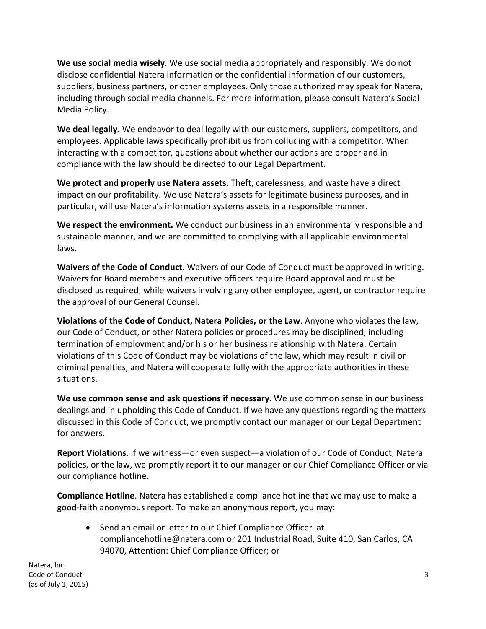**We use social media wisely**. We use social media appropriately and responsibly. We do not disclose confidential Natera information or the confidential information of our customers, suppliers, business partners, or other employees. Only those authorized may speak for Natera, including through social media channels. For more information, please consult Natera's Social Media Policy.

**We deal legally.** We endeavor to deal legally with our customers, suppliers, competitors, and employees. Applicable laws specifically prohibit us from colluding with a competitor. When interacting with a competitor, questions about whether our actions are proper and in compliance with the law should be directed to our Legal Department.

**We protect and properly use Natera assets**. Theft, carelessness, and waste have a direct impact on our profitability. We use Natera's assets for legitimate business purposes, and in particular, will use Natera's information systems assets in a responsible manner.

**We respect the environment.** We conduct our business in an environmentally responsible and sustainable manner, and we are committed to complying with all applicable environmental laws.

**Waivers of the Code of Conduct**. Waivers of our Code of Conduct must be approved in writing. Waivers for Board members and executive officers require Board approval and must be disclosed as required, while waivers involving any other employee, agent, or contractor require the approval of our General Counsel.

**Violations of the Code of Conduct, Natera Policies, or the Law**. Anyone who violates the law, our Code of Conduct, or other Natera policies or procedures may be disciplined, including termination of employment and/or his or her business relationship with Natera. Certain violations of this Code of Conduct may be violations of the law, which may result in civil or criminal penalties, and Natera will cooperate fully with the appropriate authorities in these situations.

**We use common sense and ask questions if necessary**. We use common sense in our business dealings and in upholding this Code of Conduct. If we have any questions regarding the matters discussed in this Code of Conduct, we promptly contact our manager or our Legal Department for answers.

**Report Violations**. If we witness—or even suspect—a violation of our Code of Conduct, Natera policies, or the law, we promptly report it to our manager or our Chief Compliance Officer or via our compliance hotline.

**Compliance Hotline**. Natera has established a compliance hotline that we may use to make a good-faith anonymous report. To make an anonymous report, you may:

• Send an email or letter to our Chief Compliance Officer at compliancehotline@natera.com or 201 Industrial Road, Suite 410, San Carlos, CA 94070, Attention: Chief Compliance Officer; or

Natera, Inc. **Code of Conduct** 3 (as of July 1, 2015)